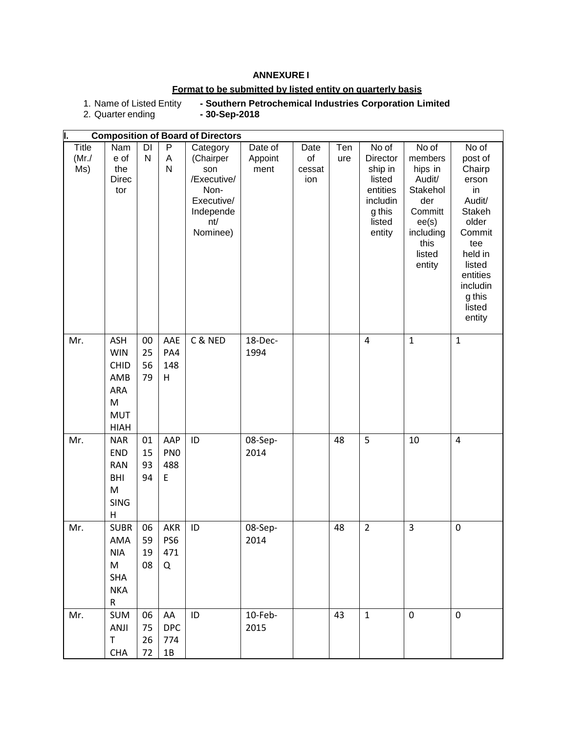## **ANNEXURE I**

# **Format to be submitted by listed entity on quarterly basis**

1. Name of Listed Entity **- Southern Petrochemical Industries Corporation Limited**

2. Quarter ending

| I.<br><b>Composition of Board of Directors</b>  |         |             |                |                |                   |
|-------------------------------------------------|---------|-------------|----------------|----------------|-------------------|
| <b>Title</b><br>DI<br>P<br>Nam<br>Category      | Date of | Ten<br>Date | No of          | No of          | No of             |
| $\mathsf{N}$<br>(Mr./<br>e of<br>Α<br>(Chairper | Appoint | of<br>ure   | Director       | members        | post of           |
| Ms)<br>N<br>the<br>son                          | ment    | cessat      | ship in        | hips in        | Chairp            |
| /Executive/<br><b>Direc</b>                     |         | ion         | listed         | Audit/         | erson             |
| Non-<br>tor                                     |         |             | entities       | Stakehol       | in                |
| Executive/                                      |         |             | includin       | der            | Audit/            |
| Independe                                       |         |             | g this         | Committ        | Stakeh            |
| nt/                                             |         |             | listed         | ee(s)          | older             |
| Nominee)                                        |         |             | entity         | including      | Commit            |
|                                                 |         |             |                | this           | tee               |
|                                                 |         |             |                | listed         | held in<br>listed |
|                                                 |         |             |                | entity         | entities          |
|                                                 |         |             |                |                | includin          |
|                                                 |         |             |                |                | g this            |
|                                                 |         |             |                |                | listed            |
|                                                 |         |             |                |                | entity            |
|                                                 |         |             |                |                |                   |
| C & NED<br>Mr.<br><b>ASH</b><br>00<br>AAE       | 18-Dec- |             | $\overline{4}$ | $\mathbf{1}$   | $\mathbf{1}$      |
| <b>WIN</b><br>25<br>PA4                         | 1994    |             |                |                |                   |
| 56<br>148<br>CHID                               |         |             |                |                |                   |
| 79<br>AMB<br>Н                                  |         |             |                |                |                   |
| ARA                                             |         |             |                |                |                   |
| M                                               |         |             |                |                |                   |
| <b>MUT</b>                                      |         |             |                |                |                   |
| <b>HIAH</b>                                     |         |             |                |                |                   |
| Mr.<br><b>NAR</b><br>01<br>AAP<br>ID            | 08-Sep- | 48          | 5              | 10             | $\overline{4}$    |
| END<br>15<br>PN <sub>0</sub>                    | 2014    |             |                |                |                   |
| 93<br>488<br><b>RAN</b>                         |         |             |                |                |                   |
| <b>BHI</b><br>94<br>E                           |         |             |                |                |                   |
| M                                               |         |             |                |                |                   |
| <b>SING</b>                                     |         |             |                |                |                   |
| H                                               |         |             |                |                |                   |
| Mr.<br>06<br><b>SUBR</b><br>AKR<br>ID           | 08-Sep- | 48          | $\overline{2}$ | $\overline{3}$ | $\pmb{0}$         |
| 59<br>PS6<br>AMA                                | 2014    |             |                |                |                   |
| <b>NIA</b><br>471<br>19                         |         |             |                |                |                   |
| M<br>08<br>Q                                    |         |             |                |                |                   |
| <b>SHA</b>                                      |         |             |                |                |                   |
| <b>NKA</b>                                      |         |             |                |                |                   |
| R                                               |         |             |                |                |                   |
| ID<br>Mr.<br><b>SUM</b><br>06<br>AA             | 10-Feb- | 43          | $\mathbf{1}$   | $\mathbf 0$    | $\mathbf 0$       |
| ANJI<br><b>DPC</b><br>75                        | 2015    |             |                |                |                   |
| $\mathsf T$<br>26<br>774                        |         |             |                |                |                   |
| <b>CHA</b><br>72<br>$1B$                        |         |             |                |                |                   |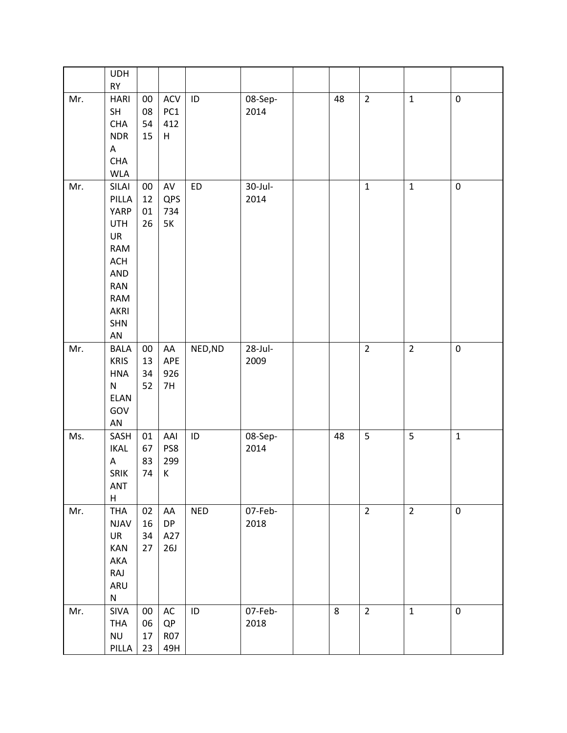|     | <b>UDH</b><br>RY                                                                                          |                          |                                     |            |                    |    |                |                |              |
|-----|-----------------------------------------------------------------------------------------------------------|--------------------------|-------------------------------------|------------|--------------------|----|----------------|----------------|--------------|
| Mr. | <b>HARI</b><br>SH<br><b>CHA</b><br><b>NDR</b><br>A<br><b>CHA</b><br><b>WLA</b>                            | $00\,$<br>08<br>54<br>15 | ACV<br>PC1<br>412<br>$\sf H$        | ID         | 08-Sep-<br>2014    | 48 | $\overline{2}$ | $\mathbf{1}$   | $\pmb{0}$    |
| Mr. | SILAI<br>PILLA<br>YARP<br><b>UTH</b><br>UR<br><b>RAM</b><br>ACH<br>AND<br>RAN<br>RAM<br>AKRI<br>SHN<br>AN | $00\,$<br>12<br>01<br>26 | AV<br>QPS<br>734<br>5K              | <b>ED</b>  | $30$ -Jul-<br>2014 |    | $\mathbf 1$    | $\mathbf{1}$   | $\pmb{0}$    |
| Mr. | <b>BALA</b><br><b>KRIS</b><br><b>HNA</b><br>${\sf N}$<br>ELAN<br>GOV<br>${\sf AN}$                        | $00\,$<br>13<br>34<br>52 | ${\sf AA}$<br>APE<br>926<br>7H      | NED, ND    | $28$ -Jul-<br>2009 |    | $\overline{2}$ | $\overline{2}$ | $\pmb{0}$    |
| Ms. | SASH<br><b>IKAL</b><br>$\mathsf A$<br>SRIK<br>ANT<br>$\sf H$                                              | 01<br>67<br>83<br>74     | AAI<br>PS8<br>299<br>К              | ID         | 08-Sep-<br>2014    | 48 | 5              | 5              | $\mathbf{1}$ |
| Mr. | <b>THA</b><br><b>NJAV</b><br>UR<br><b>KAN</b><br>AKA<br>RAJ<br>ARU<br>${\sf N}$                           | 02<br>16<br>34<br>27     | AA<br><b>DP</b><br>A27<br>26J       | <b>NED</b> | 07-Feb-<br>2018    |    | $\overline{2}$ | $\overline{2}$ | $\pmb{0}$    |
| Mr. | SIVA<br><b>THA</b><br>$\mathsf{NU}$<br>PILLA                                                              | $00\,$<br>06<br>17<br>23 | $\sf AC$<br>QP<br><b>R07</b><br>49H | ID         | 07-Feb-<br>2018    | 8  | $\overline{2}$ | $\mathbf{1}$   | $\pmb{0}$    |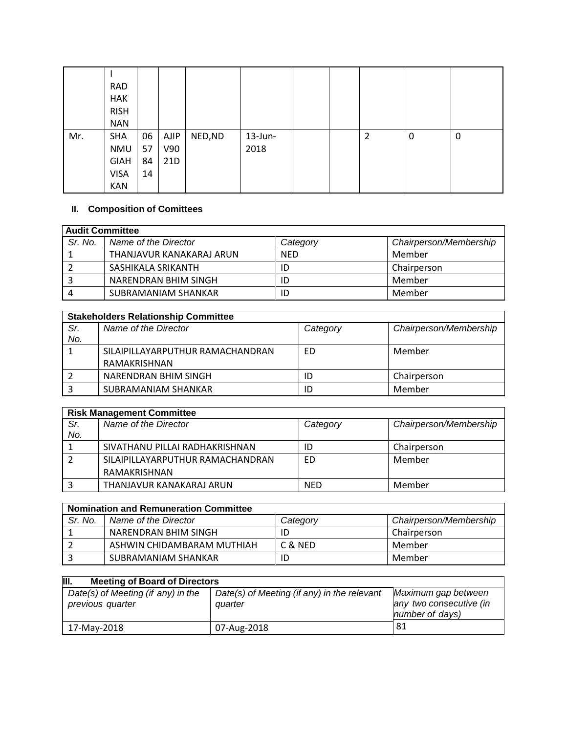|     | <b>RAD</b>  |    |      |         |            |  |   |   |   |
|-----|-------------|----|------|---------|------------|--|---|---|---|
|     | <b>HAK</b>  |    |      |         |            |  |   |   |   |
|     | <b>RISH</b> |    |      |         |            |  |   |   |   |
|     | <b>NAN</b>  |    |      |         |            |  |   |   |   |
| Mr. | <b>SHA</b>  | 06 | AJIP | NED, ND | $13$ -Jun- |  | 2 | 0 | 0 |
|     | NMU         | 57 | V90  |         | 2018       |  |   |   |   |
|     | <b>GIAH</b> | 84 | 21D  |         |            |  |   |   |   |
|     | <b>VISA</b> | 14 |      |         |            |  |   |   |   |
|     | <b>KAN</b>  |    |      |         |            |  |   |   |   |

# **II. Composition of Comittees**

| Audit Committee_ |                          |            |                        |  |  |
|------------------|--------------------------|------------|------------------------|--|--|
| Sr. No.          | Name of the Director     | Category   | Chairperson/Membership |  |  |
|                  | THANJAVUR KANAKARAJ ARUN | <b>NED</b> | Member                 |  |  |
|                  | SASHIKALA SRIKANTH       | ID         | Chairperson            |  |  |
|                  | NARENDRAN BHIM SINGH     | ID         | Member                 |  |  |
| 4                | SUBRAMANIAM SHANKAR      | ID         | Member                 |  |  |

|     | <b>Stakeholders Relationship Committee</b> |          |                        |  |  |  |
|-----|--------------------------------------------|----------|------------------------|--|--|--|
| Sr. | Name of the Director                       | Category | Chairperson/Membership |  |  |  |
| No. |                                            |          |                        |  |  |  |
|     | SILAIPILLAYARPUTHUR RAMACHANDRAN           | ED       | Member                 |  |  |  |
|     | RAMAKRISHNAN                               |          |                        |  |  |  |
|     | NARENDRAN BHIM SINGH                       |          | Chairperson            |  |  |  |
|     | SUBRAMANIAM SHANKAR                        |          | Member                 |  |  |  |

|     | <b>Risk Management Committee</b> |            |                        |  |  |  |
|-----|----------------------------------|------------|------------------------|--|--|--|
| Sr. | Name of the Director             | Category   | Chairperson/Membership |  |  |  |
| No. |                                  |            |                        |  |  |  |
|     | SIVATHANU PILLAI RADHAKRISHNAN   | ID         | Chairperson            |  |  |  |
|     | SILAIPILLAYARPUTHUR RAMACHANDRAN | ED         | Member                 |  |  |  |
|     | RAMAKRISHNAN                     |            |                        |  |  |  |
|     | THANJAVUR KANAKARAJ ARUN         | <b>NED</b> | Member                 |  |  |  |

| <b>Nomination and Remuneration Committee</b> |                            |          |                        |  |  |  |
|----------------------------------------------|----------------------------|----------|------------------------|--|--|--|
| Sr. No.                                      | Name of the Director       | Category | Chairperson/Membership |  |  |  |
|                                              | NARENDRAN BHIM SINGH       |          | Chairperson            |  |  |  |
|                                              | ASHWIN CHIDAMBARAM MUTHIAH | C & NED  | Member                 |  |  |  |
|                                              | SUBRAMANIAM SHANKAR        |          | Member                 |  |  |  |

| III.<br><b>Meeting of Board of Directors</b> |                                             |                         |  |  |  |
|----------------------------------------------|---------------------------------------------|-------------------------|--|--|--|
| Date(s) of Meeting (if any) in the           | Date(s) of Meeting (if any) in the relevant | Maximum gap between     |  |  |  |
| previous quarter                             | quarter                                     | any two consecutive (in |  |  |  |
|                                              |                                             | number of days)         |  |  |  |
| 17-May-2018                                  | 07-Aug-2018                                 | -81                     |  |  |  |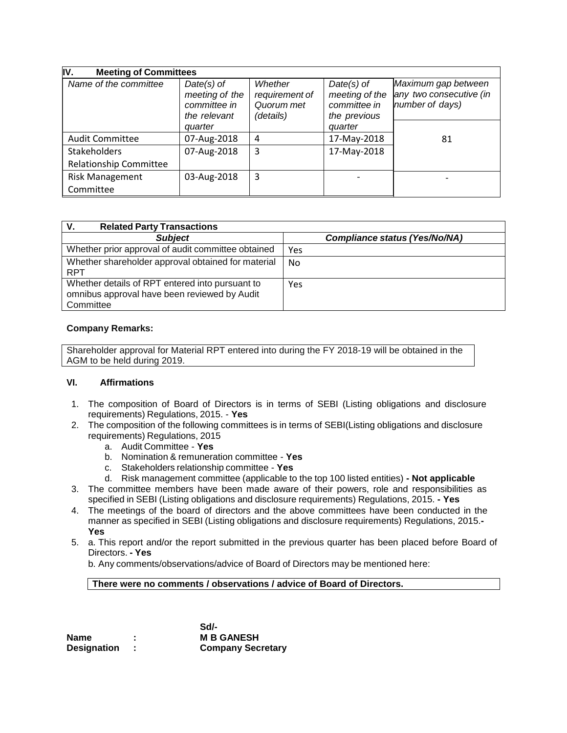| IV.<br><b>Meeting of Committees</b>                  |                                                                           |                                                      |                                                                           |                                                                   |
|------------------------------------------------------|---------------------------------------------------------------------------|------------------------------------------------------|---------------------------------------------------------------------------|-------------------------------------------------------------------|
| Name of the committee                                | $Date(s)$ of<br>meeting of the<br>committee in<br>the relevant<br>quarter | Whether<br>requirement of<br>Quorum met<br>(details) | $Date(s)$ of<br>meeting of the<br>committee in<br>the previous<br>quarter | Maximum gap between<br>any two consecutive (in<br>number of days) |
| <b>Audit Committee</b>                               | 07-Aug-2018                                                               | 4                                                    | 17-May-2018                                                               | 81                                                                |
| <b>Stakeholders</b><br><b>Relationship Committee</b> | 07-Aug-2018                                                               | 3                                                    | 17-May-2018                                                               |                                                                   |
| <b>Risk Management</b><br>Committee                  | 03-Aug-2018                                                               | 3                                                    |                                                                           |                                                                   |

| V.<br><b>Related Party Transactions</b>                                                                      |                                      |
|--------------------------------------------------------------------------------------------------------------|--------------------------------------|
| <b>Subject</b>                                                                                               | <b>Compliance status (Yes/No/NA)</b> |
| Whether prior approval of audit committee obtained                                                           | Yes                                  |
| Whether shareholder approval obtained for material<br><b>RPT</b>                                             | No.                                  |
| Whether details of RPT entered into pursuant to<br>omnibus approval have been reviewed by Audit<br>Committee | Yes                                  |

#### **Company Remarks:**

Shareholder approval for Material RPT entered into during the FY 2018-19 will be obtained in the AGM to be held during 2019.

#### **VI. Affirmations**

- 1. The composition of Board of Directors is in terms of SEBI (Listing obligations and disclosure requirements) Regulations, 2015. - **Yes**
- 2. The composition of the following committees is in terms of SEBI(Listing obligations and disclosure requirements) Regulations, 2015
	- a. Audit Committee **Yes**
	- b. Nomination & remuneration committee **Yes**
	- c. Stakeholders relationship committee **Yes**
	- d. Risk management committee (applicable to the top 100 listed entities) **- Not applicable**
- 3. The committee members have been made aware of their powers, role and responsibilities as specified in SEBI (Listing obligations and disclosure requirements) Regulations, 2015. **- Yes**
- 4. The meetings of the board of directors and the above committees have been conducted in the manner as specified in SEBI (Listing obligations and disclosure requirements) Regulations, 2015.**- Yes**
- 5. a. This report and/or the report submitted in the previous quarter has been placed before Board of Directors. **- Yes**

b. Any comments/observations/advice of Board of Directors may be mentioned here:

#### **There were no comments / observations / advice of Board of Directors.**

|                    | Sd/-                     |
|--------------------|--------------------------|
| Name               | <b>M B GANESH</b>        |
| <b>Designation</b> | <b>Company Secretary</b> |